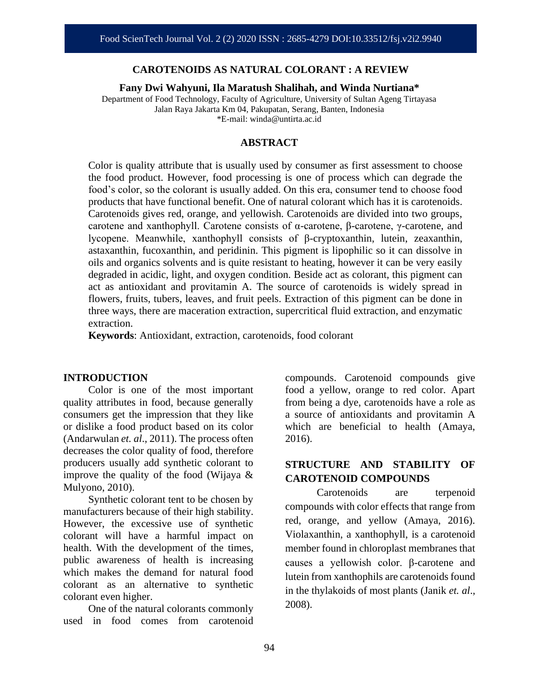#### **CAROTENOIDS AS NATURAL COLORANT : A REVIEW**

**Fany Dwi Wahyuni, Ila Maratush Shalihah, and Winda Nurtiana\***

Department of Food Technology, Faculty of Agriculture, University of Sultan Ageng Tirtayasa Jalan Raya Jakarta Km 04, Pakupatan, Serang, Banten, Indonesia \*E-mail: winda@untirta.ac.id

#### **ABSTRACT**

Color is quality attribute that is usually used by consumer as first assessment to choose the food product. However, food processing is one of process which can degrade the food's color, so the colorant is usually added. On this era, consumer tend to choose food products that have functional benefit. One of natural colorant which has it is carotenoids. Carotenoids gives red, orange, and yellowish. Carotenoids are divided into two groups, carotene and xanthophyll. Carotene consists of α-carotene, β-carotene, γ-carotene, and lycopene. Meanwhile, xanthophyll consists of β-cryptoxanthin, lutein, zeaxanthin, astaxanthin, fucoxanthin, and peridinin. This pigment is lipophilic so it can dissolve in oils and organics solvents and is quite resistant to heating, however it can be very easily degraded in acidic, light, and oxygen condition. Beside act as colorant, this pigment can act as antioxidant and provitamin A. The source of carotenoids is widely spread in flowers, fruits, tubers, leaves, and fruit peels. Extraction of this pigment can be done in three ways, there are maceration extraction, supercritical fluid extraction, and enzymatic extraction.

**Keywords**: Antioxidant, extraction, carotenoids, food colorant

#### **INTRODUCTION**

Color is one of the most important quality attributes in food, because generally consumers get the impression that they like or dislike a food product based on its color (Andarwulan *et. al*., 2011). The process often decreases the color quality of food, therefore producers usually add synthetic colorant to improve the quality of the food (Wijaya & Mulyono, 2010).

Synthetic colorant tent to be chosen by manufacturers because of their high stability. However, the excessive use of synthetic colorant will have a harmful impact on health. With the development of the times, public awareness of health is increasing which makes the demand for natural food colorant as an alternative to synthetic colorant even higher.

One of the natural colorants commonly used in food comes from carotenoid compounds. Carotenoid compounds give food a yellow, orange to red color. Apart from being a dye, carotenoids have a role as a source of antioxidants and provitamin A which are beneficial to health (Amaya, 2016).

### **STRUCTURE AND STABILITY OF CAROTENOID COMPOUNDS**

Carotenoids are terpenoid compounds with color effects that range from red, orange, and yellow (Amaya, 2016). Violaxanthin, a xanthophyll, is a carotenoid member found in chloroplast membranes that causes a yellowish color. β-carotene and lutein from xanthophils are carotenoids found in the thylakoids of most plants (Janik *et. al*., 2008).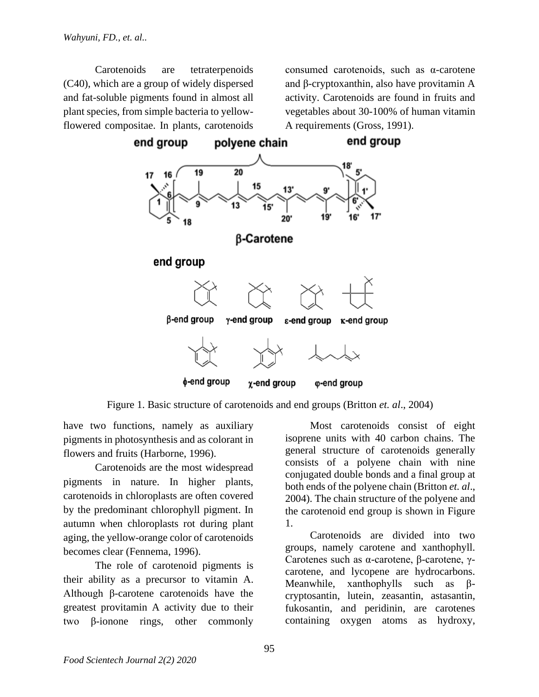Carotenoids are tetraterpenoids (C40), which are a group of widely dispersed and fat-soluble pigments found in almost all plant species, from simple bacteria to yellowflowered compositae. In plants, carotenoids

consumed carotenoids, such as α-carotene and β-cryptoxanthin, also have provitamin A activity. Carotenoids are found in fruits and vegetables about 30-100% of human vitamin A requirements (Gross, 1991).



Figure 1. Basic structure of carotenoids and end groups (Britton *et. al*., 2004)

have two functions, namely as auxiliary pigments in photosynthesis and as colorant in flowers and fruits (Harborne, 1996).

Carotenoids are the most widespread pigments in nature. In higher plants, carotenoids in chloroplasts are often covered by the predominant chlorophyll pigment. In autumn when chloroplasts rot during plant aging, the yellow-orange color of carotenoids becomes clear (Fennema, 1996).

The role of carotenoid pigments is their ability as a precursor to vitamin A. Although β-carotene carotenoids have the greatest provitamin A activity due to their two β-ionone rings, other commonly

Most carotenoids consist of eight isoprene units with 40 carbon chains. The general structure of carotenoids generally consists of a polyene chain with nine conjugated double bonds and a final group at both ends of the polyene chain (Britton *et. al*., 2004). The chain structure of the polyene and the carotenoid end group is shown in Figure 1.

Carotenoids are divided into two groups, namely carotene and xanthophyll. Carotenes such as α-carotene, β-carotene, γcarotene, and lycopene are hydrocarbons. Meanwhile, xanthophylls such as βcryptosantin, lutein, zeasantin, astasantin, fukosantin, and peridinin, are carotenes containing oxygen atoms as hydroxy,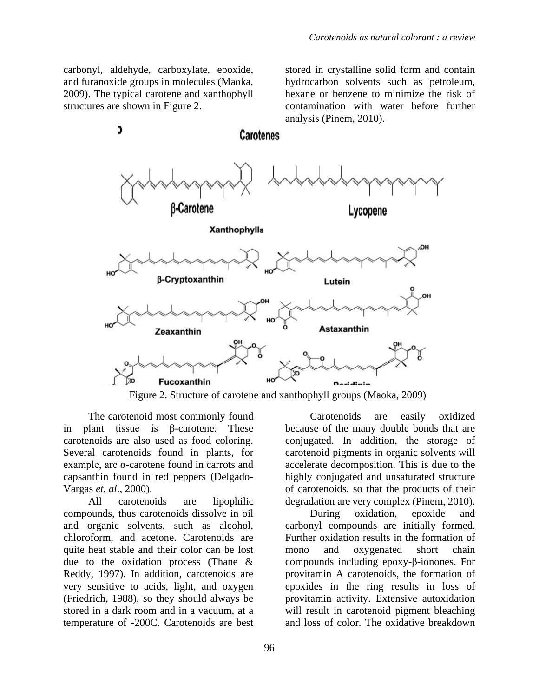carbonyl, aldehyde, carboxylate, epoxide, and furanoxide groups in molecules (Maoka, 2009). The typical carotene and xanthophyll structures are shown in Figure 2.

C

stored in crystalline solid form and contain hydrocarbon solvents such as petroleum, hexane or benzene to minimize the risk of contamination with water before further analysis (Pinem, 2010).



**Carotenes** 

Figure 2. Structure of carotene and xanthophyll groups (Maoka, 2009)

The carotenoid most commonly found in plant tissue is β-carotene. These carotenoids are also used as food coloring. Several carotenoids found in plants, for example, are α-carotene found in carrots and capsanthin found in red peppers (Delgado-Vargas *et. al*., 2000).

All carotenoids are lipophilic compounds, thus carotenoids dissolve in oil and organic solvents, such as alcohol, chloroform, and acetone. Carotenoids are quite heat stable and their color can be lost due to the oxidation process (Thane & Reddy, 1997). In addition, carotenoids are very sensitive to acids, light, and oxygen (Friedrich, 1988), so they should always be stored in a dark room and in a vacuum, at a temperature of -200C. Carotenoids are best

Carotenoids are easily oxidized because of the many double bonds that are conjugated. In addition, the storage of carotenoid pigments in organic solvents will accelerate decomposition. This is due to the highly conjugated and unsaturated structure of carotenoids, so that the products of their degradation are very complex (Pinem, 2010).

During oxidation, epoxide and carbonyl compounds are initially formed. Further oxidation results in the formation of mono and oxygenated short chain compounds including epoxy-β-ionones. For provitamin A carotenoids, the formation of epoxides in the ring results in loss of provitamin activity. Extensive autoxidation will result in carotenoid pigment bleaching and loss of color. The oxidative breakdown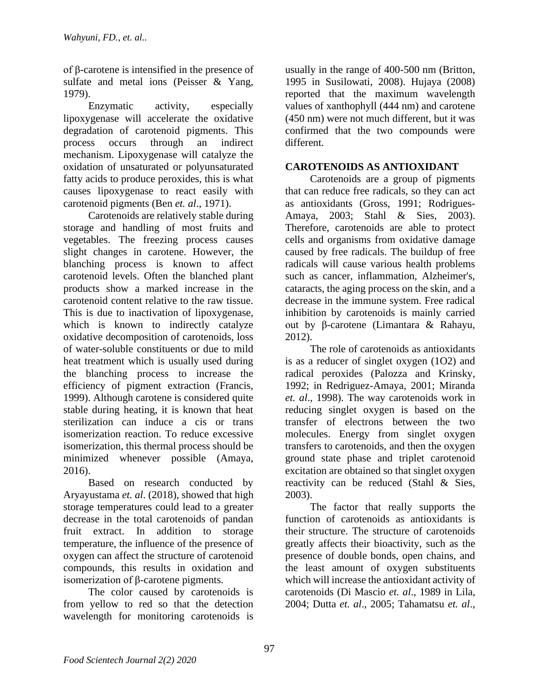of β-carotene is intensified in the presence of sulfate and metal ions (Peisser & Yang, 1979).

Enzymatic activity, especially lipoxygenase will accelerate the oxidative degradation of carotenoid pigments. This process occurs through an indirect mechanism. Lipoxygenase will catalyze the oxidation of unsaturated or polyunsaturated fatty acids to produce peroxides, this is what causes lipoxygenase to react easily with carotenoid pigments (Ben *et. al*., 1971).

Carotenoids are relatively stable during storage and handling of most fruits and vegetables. The freezing process causes slight changes in carotene. However, the blanching process is known to affect carotenoid levels. Often the blanched plant products show a marked increase in the carotenoid content relative to the raw tissue. This is due to inactivation of lipoxygenase, which is known to indirectly catalyze oxidative decomposition of carotenoids, loss of water-soluble constituents or due to mild heat treatment which is usually used during the blanching process to increase the efficiency of pigment extraction (Francis, 1999). Although carotene is considered quite stable during heating, it is known that heat sterilization can induce a cis or trans isomerization reaction. To reduce excessive isomerization, this thermal process should be minimized whenever possible (Amaya, 2016).

Based on research conducted by Aryayustama *et. al*. (2018), showed that high storage temperatures could lead to a greater decrease in the total carotenoids of pandan fruit extract. In addition to storage temperature, the influence of the presence of oxygen can affect the structure of carotenoid compounds, this results in oxidation and isomerization of β-carotene pigments.

The color caused by carotenoids is from yellow to red so that the detection wavelength for monitoring carotenoids is

usually in the range of 400-500 nm (Britton, 1995 in Susilowati, 2008). Hujaya (2008) reported that the maximum wavelength values of xanthophyll (444 nm) and carotene (450 nm) were not much different, but it was confirmed that the two compounds were different.

## **CAROTENOIDS AS ANTIOXIDANT**

Carotenoids are a group of pigments that can reduce free radicals, so they can act as antioxidants (Gross, 1991; Rodrigues-Amaya, 2003; Stahl & Sies, 2003). Therefore, carotenoids are able to protect cells and organisms from oxidative damage caused by free radicals. The buildup of free radicals will cause various health problems such as cancer, inflammation, Alzheimer's, cataracts, the aging process on the skin, and a decrease in the immune system. Free radical inhibition by carotenoids is mainly carried out by β-carotene (Limantara & Rahayu, 2012).

The role of carotenoids as antioxidants is as a reducer of singlet oxygen (1O2) and radical peroxides (Palozza and Krinsky, 1992; in Redriguez-Amaya, 2001; Miranda *et. al*., 1998). The way carotenoids work in reducing singlet oxygen is based on the transfer of electrons between the two molecules. Energy from singlet oxygen transfers to carotenoids, and then the oxygen ground state phase and triplet carotenoid excitation are obtained so that singlet oxygen reactivity can be reduced (Stahl & Sies, 2003).

The factor that really supports the function of carotenoids as antioxidants is their structure. The structure of carotenoids greatly affects their bioactivity, such as the presence of double bonds, open chains, and the least amount of oxygen substituents which will increase the antioxidant activity of carotenoids (Di Mascio *et. al*., 1989 in Lila, 2004; Dutta *et. al*., 2005; Tahamatsu *et. al*.,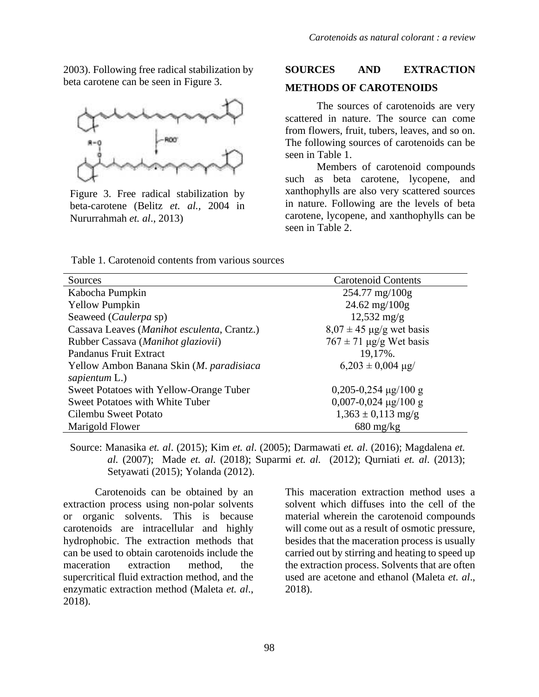2003). Following free radical stabilization by beta carotene can be seen in Figure 3.



Figure 3. Free radical stabilization by beta-carotene (Belitz *et. al.,* 2004 in Nururrahmah *et. al*., 2013)

# **SOURCES AND EXTRACTION METHODS OF CAROTENOIDS**

The sources of carotenoids are very scattered in nature. The source can come from flowers, fruit, tubers, leaves, and so on. The following sources of carotenoids can be seen in Table 1.

Members of carotenoid compounds such as beta carotene, lycopene, and xanthophylls are also very scattered sources in nature. Following are the levels of beta carotene, lycopene, and xanthophylls can be seen in Table 2.

Table 1. Carotenoid contents from various sources

| Sources                                     | <b>Carotenoid Contents</b>             |
|---------------------------------------------|----------------------------------------|
| Kabocha Pumpkin                             | $254.77$ mg/100g                       |
| <b>Yellow Pumpkin</b>                       | $24.62 \text{ mg}/100 \text{g}$        |
| Seaweed (Caulerpa sp)                       | $12,532 \text{ mg/g}$                  |
| Cassava Leaves (Manihot esculenta, Crantz.) | $8.07 \pm 45 \text{ µg/g}$ wet basis   |
| Rubber Cassava (Manihot glaziovii)          | $767 \pm 71$ µg/g Wet basis            |
| <b>Pandanus Fruit Extract</b>               | 19,17%.                                |
| Yellow Ambon Banana Skin (M. paradisiaca    | $6,203 \pm 0,004 \text{ µg}$           |
| sapientum L.)                               |                                        |
| Sweet Potatoes with Yellow-Orange Tuber     | $0,205-0,254 \mu g/100 g$              |
| <b>Sweet Potatoes with White Tuber</b>      | $0,007-0,024 \text{ µg}/100 \text{ g}$ |
| Cilembu Sweet Potato                        | $1,363 \pm 0,113$ mg/g                 |
| Marigold Flower                             | $680$ mg/kg                            |

Source: Manasika *et. al*. (2015); Kim *et. al*. (2005); Darmawati *et. al*. (2016); Magdalena *et. al.* (2007); Made *et. al.* (2018); Suparmi *et. al.* (2012); Qurniati *et. al.* (2013); Setyawati (2015); Yolanda (2012).

Carotenoids can be obtained by an extraction process using non-polar solvents or organic solvents. This is because carotenoids are intracellular and highly hydrophobic. The extraction methods that can be used to obtain carotenoids include the maceration extraction method, the supercritical fluid extraction method, and the enzymatic extraction method (Maleta *et. al*., 2018).

This maceration extraction method uses a solvent which diffuses into the cell of the material wherein the carotenoid compounds will come out as a result of osmotic pressure, besides that the maceration process is usually carried out by stirring and heating to speed up the extraction process. Solvents that are often used are acetone and ethanol (Maleta *et. al*., 2018).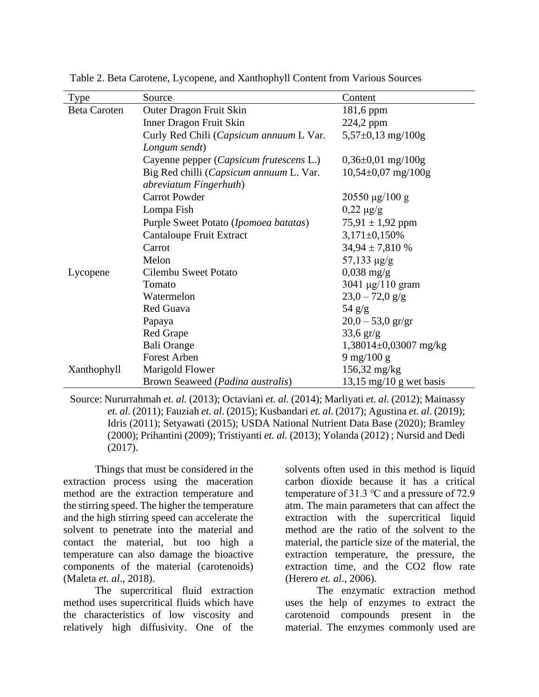| <b>Type</b>         | Source                                  | Content                                       |
|---------------------|-----------------------------------------|-----------------------------------------------|
| <b>Beta Caroten</b> | Outer Dragon Fruit Skin                 | 181,6 ppm                                     |
|                     | Inner Dragon Fruit Skin                 | 224,2 ppm                                     |
|                     | Curly Red Chili (Capsicum annuum L Var. | $5,57\pm0,13$ mg/100g                         |
|                     | Longum sendt)                           |                                               |
|                     | Cayenne pepper (Capsicum frutescens L.) | $0,36\pm0,01$ mg/100g                         |
|                     | Big Red chilli (Capsicum annuum L. Var. | $10,54\pm0,07$ mg/100g                        |
|                     | abreviatum Fingerhuth)                  |                                               |
|                     | <b>Carrot Powder</b>                    | $20550 \text{ µg}/100 \text{ g}$              |
|                     | Lompa Fish                              | $0,22 \mu g/g$                                |
|                     | Purple Sweet Potato (Ipomoea batatas)   | $75,91 \pm 1,92$ ppm                          |
|                     | Cantaloupe Fruit Extract                | $3,171\pm0,150\%$                             |
|                     | Carrot                                  | $34,94 \pm 7,810\%$                           |
|                     | Melon                                   | $57,133 \mu g/g$                              |
| Lycopene            | Cilembu Sweet Potato                    | $0,038 \text{ mg/g}$                          |
|                     | Tomato                                  | $3041 \,\mathrm{\mu g} / 110 \,\mathrm{gram}$ |
|                     | Watermelon                              | $23,0 - 72,0$ g/g                             |
|                     | Red Guava                               | $54$ g/g                                      |
|                     | Papaya                                  | $20,0 - 53,0$ gr/gr                           |
|                     | Red Grape                               | $33,6 \text{ gr/g}$                           |
|                     | <b>Bali Orange</b>                      | $1,38014\pm0,03007$ mg/kg                     |
|                     | <b>Forest Arben</b>                     | $9 \,\mathrm{mg}/100 \,\mathrm{g}$            |
| Xanthophyll         | Marigold Flower                         | $156,32 \text{ mg/kg}$                        |
|                     | Brown Seaweed (Padina australis)        | $13,15 \text{ mg}/10 \text{ g}$ wet basis     |

Table 2. Beta Carotene, Lycopene, and Xanthophyll Content from Various Sources

Source: Nururrahmah *et. al.* (2013); Octaviani *et. al.* (2014); Marliyati *et. al.* (2012); Mainassy *et. al*. (2011); Fauziah *et. al*. (2015); Kusbandari *et. al*. (2017); Agustina *et. al*. (2019); Idris (2011); Setyawati (2015); USDA National Nutrient Data Base (2020); Bramley (2000); Prihantini (2009); Tristiyanti *et. al.* (2013); Yolanda (2012) ; Nursid and Dedi (2017).

Things that must be considered in the extraction process using the maceration method are the extraction temperature and the stirring speed. The higher the temperature and the high stirring speed can accelerate the solvent to penetrate into the material and contact the material, but too high a temperature can also damage the bioactive components of the material (carotenoids) (Maleta *et. al*., 2018).

The supercritical fluid extraction method uses supercritical fluids which have the characteristics of low viscosity and relatively high diffusivity. One of the

solvents often used in this method is liquid carbon dioxide because it has a critical temperature of 31.3 ℃ and a pressure of 72.9 atm. The main parameters that can affect the extraction with the supercritical liquid method are the ratio of the solvent to the material, the particle size of the material, the extraction temperature, the pressure, the extraction time, and the CO2 flow rate (Herero *et. al*., 2006).

The enzymatic extraction method uses the help of enzymes to extract the carotenoid compounds present in the material. The enzymes commonly used are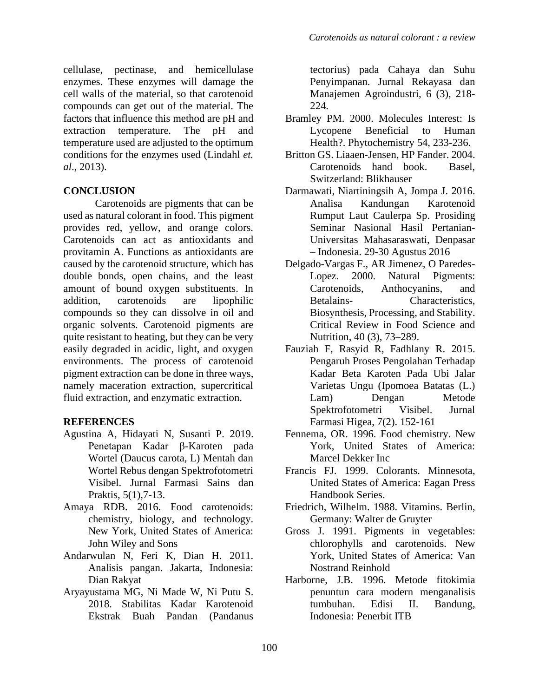cellulase, pectinase, and hemicellulase enzymes. These enzymes will damage the cell walls of the material, so that carotenoid compounds can get out of the material. The factors that influence this method are pH and extraction temperature. The pH and temperature used are adjusted to the optimum conditions for the enzymes used (Lindahl *et. al*., 2013).

### **CONCLUSION**

Carotenoids are pigments that can be used as natural colorant in food. This pigment provides red, yellow, and orange colors. Carotenoids can act as antioxidants and provitamin A. Functions as antioxidants are caused by the carotenoid structure, which has double bonds, open chains, and the least amount of bound oxygen substituents. In addition, carotenoids are lipophilic compounds so they can dissolve in oil and organic solvents. Carotenoid pigments are quite resistant to heating, but they can be very easily degraded in acidic, light, and oxygen environments. The process of carotenoid pigment extraction can be done in three ways, namely maceration extraction, supercritical fluid extraction, and enzymatic extraction.

# **REFERENCES**

- Agustina A, Hidayati N, Susanti P. 2019. Penetapan Kadar β-Karoten pada Wortel (Daucus carota, L) Mentah dan Wortel Rebus dengan Spektrofotometri Visibel. Jurnal Farmasi Sains dan Praktis, 5(1),7-13.
- Amaya RDB. 2016. Food carotenoids: chemistry, biology, and technology. New York, United States of America: John Wiley and Sons
- Andarwulan N, Feri K, Dian H. 2011. Analisis pangan. Jakarta, Indonesia: Dian Rakyat
- Aryayustama MG, Ni Made W, Ni Putu S. 2018. Stabilitas Kadar Karotenoid Ekstrak Buah Pandan (Pandanus

tectorius) pada Cahaya dan Suhu Penyimpanan. Jurnal Rekayasa dan Manajemen Agroindustri, 6 (3), 218- 224.

- Bramley PM. 2000. Molecules Interest: Is Lycopene Beneficial to Human Health?. Phytochemistry 54, 233-236.
- Britton GS. Liaaen-Jensen, HP Fander. 2004. Carotenoids hand book. Basel, Switzerland: Blikhauser
- Darmawati, Niartiningsih A, Jompa J. 2016. Analisa Kandungan Karotenoid Rumput Laut Caulerpa Sp. Prosiding Seminar Nasional Hasil Pertanian-Universitas Mahasaraswati, Denpasar – Indonesia. 29-30 Agustus 2016
- Delgado-Vargas F., AR Jimenez, O Paredes-Lopez. 2000. Natural Pigments: Carotenoids, Anthocyanins, and Betalains-<br>
Characteristics, Biosynthesis, Processing, and Stability. Critical Review in Food Science and Nutrition, 40 (3), 73–289.
- Fauziah F, Rasyid R, Fadhlany R. 2015. Pengaruh Proses Pengolahan Terhadap Kadar Beta Karoten Pada Ubi Jalar Varietas Ungu (Ipomoea Batatas (L.) Lam) Dengan Metode Spektrofotometri Visibel. Jurnal Farmasi Higea, 7(2). 152-161
- Fennema, OR. 1996. Food chemistry. New York, United States of America: Marcel Dekker Inc
- Francis FJ. 1999. Colorants. Minnesota, United States of America: Eagan Press Handbook Series.
- Friedrich, Wilhelm. 1988. Vitamins. Berlin, Germany: Walter de Gruyter
- Gross J. 1991. Pigments in vegetables: chlorophylls and carotenoids. New York, United States of America: Van Nostrand Reinhold
- Harborne, J.B. 1996. Metode fitokimia penuntun cara modern menganalisis tumbuhan. Edisi II. Bandung, Indonesia: Penerbit ITB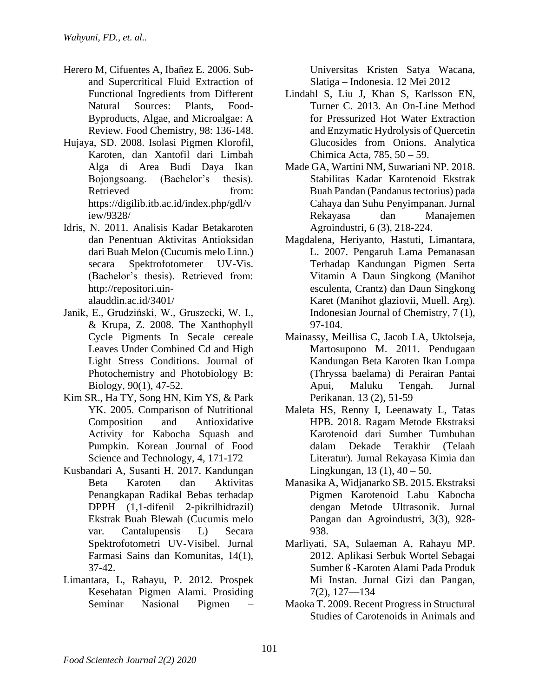- Herero M, Cifuentes A, Ibañez E. 2006. Suband Supercritical Fluid Extraction of Functional Ingredients from Different Natural Sources: Plants, Food-Byproducts, Algae, and Microalgae: A Review. Food Chemistry, 98: 136-148.
- Hujaya, SD. 2008. Isolasi Pigmen Klorofil, Karoten, dan Xantofil dari Limbah Alga di Area Budi Daya Ikan Bojongsoang. (Bachelor's thesis). Retrieved from: https://digilib.itb.ac.id/index.php/gdl/v iew/9328/
- Idris, N. 2011. Analisis Kadar Betakaroten dan Penentuan Aktivitas Antioksidan dari Buah Melon (Cucumis melo Linn.) secara Spektrofotometer UV-Vis. (Bachelor's thesis). Retrieved from: http://repositori.uinalauddin.ac.id/3401/
- Janik, E., Grudziński, W., Gruszecki, W. I., & Krupa, Z. 2008. The Xanthophyll Cycle Pigments In Secale cereale Leaves Under Combined Cd and High Light Stress Conditions. Journal of Photochemistry and Photobiology B: Biology, 90(1), 47-52.
- Kim SR., Ha TY, Song HN, Kim YS, & Park YK. 2005. Comparison of Nutritional Composition and Antioxidative Activity for Kabocha Squash and Pumpkin. Korean Journal of Food Science and Technology, 4, 171-172
- Kusbandari A, Susanti H. 2017. Kandungan Beta Karoten dan Aktivitas Penangkapan Radikal Bebas terhadap DPPH (1,1-difenil 2-pikrilhidrazil) Ekstrak Buah Blewah (Cucumis melo var. Cantalupensis L) Secara Spektrofotometri UV-Visibel. Jurnal Farmasi Sains dan Komunitas, 14(1), 37-42.
- Limantara, L, Rahayu, P. 2012. Prospek Kesehatan Pigmen Alami. Prosiding Seminar Nasional Pigmen –

Universitas Kristen Satya Wacana, Slatiga – Indonesia. 12 Mei 2012

- Lindahl S, Liu J, Khan S, Karlsson EN, Turner C. 2013. An On-Line Method for Pressurized Hot Water Extraction and Enzymatic Hydrolysis of Quercetin Glucosides from Onions. Analytica Chimica Acta, 785, 50 – 59.
- Made GA, Wartini NM, Suwariani NP. 2018. Stabilitas Kadar Karotenoid Ekstrak Buah Pandan (Pandanus tectorius) pada Cahaya dan Suhu Penyimpanan. Jurnal Rekayasa dan Manajemen Agroindustri, 6 (3), 218-224.
- Magdalena, Heriyanto, Hastuti, Limantara, L. 2007. Pengaruh Lama Pemanasan Terhadap Kandungan Pigmen Serta Vitamin A Daun Singkong (Manihot esculenta, Crantz) dan Daun Singkong Karet (Manihot glaziovii, Muell. Arg). Indonesian Journal of Chemistry, 7 (1), 97-104.
- Mainassy, Meillisa C, Jacob LA, Uktolseja, Martosupono M. 2011. Pendugaan Kandungan Beta Karoten Ikan Lompa (Thryssa baelama) di Perairan Pantai Apui, Maluku Tengah. Jurnal Perikanan. 13 (2), 51-59
- Maleta HS, Renny I, Leenawaty L, Tatas HPB. 2018. Ragam Metode Ekstraksi Karotenoid dari Sumber Tumbuhan dalam Dekade Terakhir (Telaah Literatur). Jurnal Rekayasa Kimia dan Lingkungan, 13 (1),  $40 - 50$ .
- Manasika A, Widjanarko SB. 2015. Ekstraksi Pigmen Karotenoid Labu Kabocha dengan Metode Ultrasonik. Jurnal Pangan dan Agroindustri, 3(3), 928- 938.
- Marliyati, SA, Sulaeman A, Rahayu MP. 2012. Aplikasi Serbuk Wortel Sebagai Sumber ß -Karoten Alami Pada Produk Mi Instan. Jurnal Gizi dan Pangan, 7(2), 127—134
- Maoka T. 2009. Recent Progress in Structural Studies of Carotenoids in Animals and